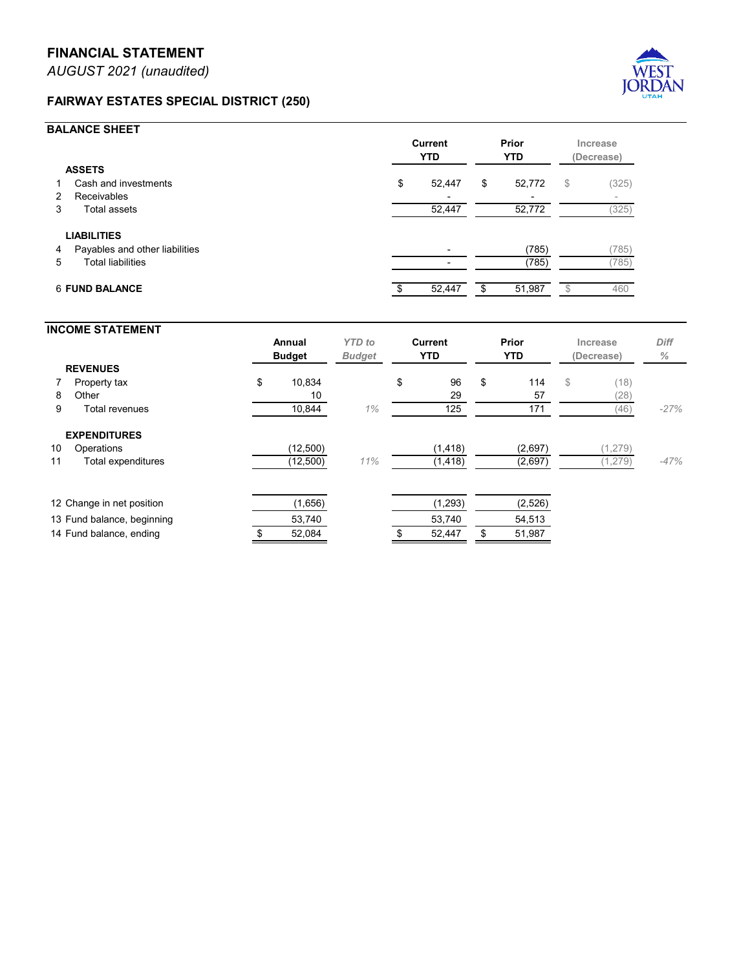## **FAIRWAY ESTATES SPECIAL DISTRICT (250)**



## **BALANCE SHEET**

|                       |                                | <b>Current</b><br><b>YTD</b> |                          | Prior<br><b>YTD</b> |        | Increase<br>(Decrease) |                          |
|-----------------------|--------------------------------|------------------------------|--------------------------|---------------------|--------|------------------------|--------------------------|
| <b>ASSETS</b>         |                                |                              |                          |                     |        |                        |                          |
| 1                     | Cash and investments           | \$                           | 52,447                   | \$                  | 52,772 | \$                     | (325)                    |
| 2                     | Receivables                    |                              | $\overline{\phantom{0}}$ |                     |        |                        | $\overline{\phantom{a}}$ |
| 3                     | Total assets                   |                              | 52,447                   |                     | 52,772 |                        | (325)                    |
|                       | <b>LIABILITIES</b>             |                              |                          |                     |        |                        |                          |
| 4                     | Payables and other liabilities |                              |                          |                     | (785)  |                        | (785)                    |
| 5.                    | <b>Total liabilities</b>       |                              |                          |                     | (785)  |                        | (785)                    |
| <b>6 FUND BALANCE</b> |                                |                              | 52,447                   | \$                  | 51,987 |                        | 460                      |

## **INCOME STATEMENT Annual** *YTD to* **Current Prior Increase** *Diff* **Budget** *Budget* **YTD YTD (Decrease)** *%* **REVENUES 7 Property tax \$ 10,834 \$ 96 \$ 114** \$ (18) 8 Other 10  $10$  29 57 (28) 9 Total revenues 10,844 *1%* 125 171 (46) *-27%* **EXPENDITURES** 10 Operations (12,500) (1,418) (2,697) (1,279) 11 Total expenditures (12,500) *11%* (1,418) (2,697) (1,279) *-47%* 12 Change in net position (1,656) (1,656) (1,293) (2,526) 13 Fund balance, beginning 53,740 53,740 54,513 14 Fund balance, ending  $$52,084$   $$52,447$  \$51,987